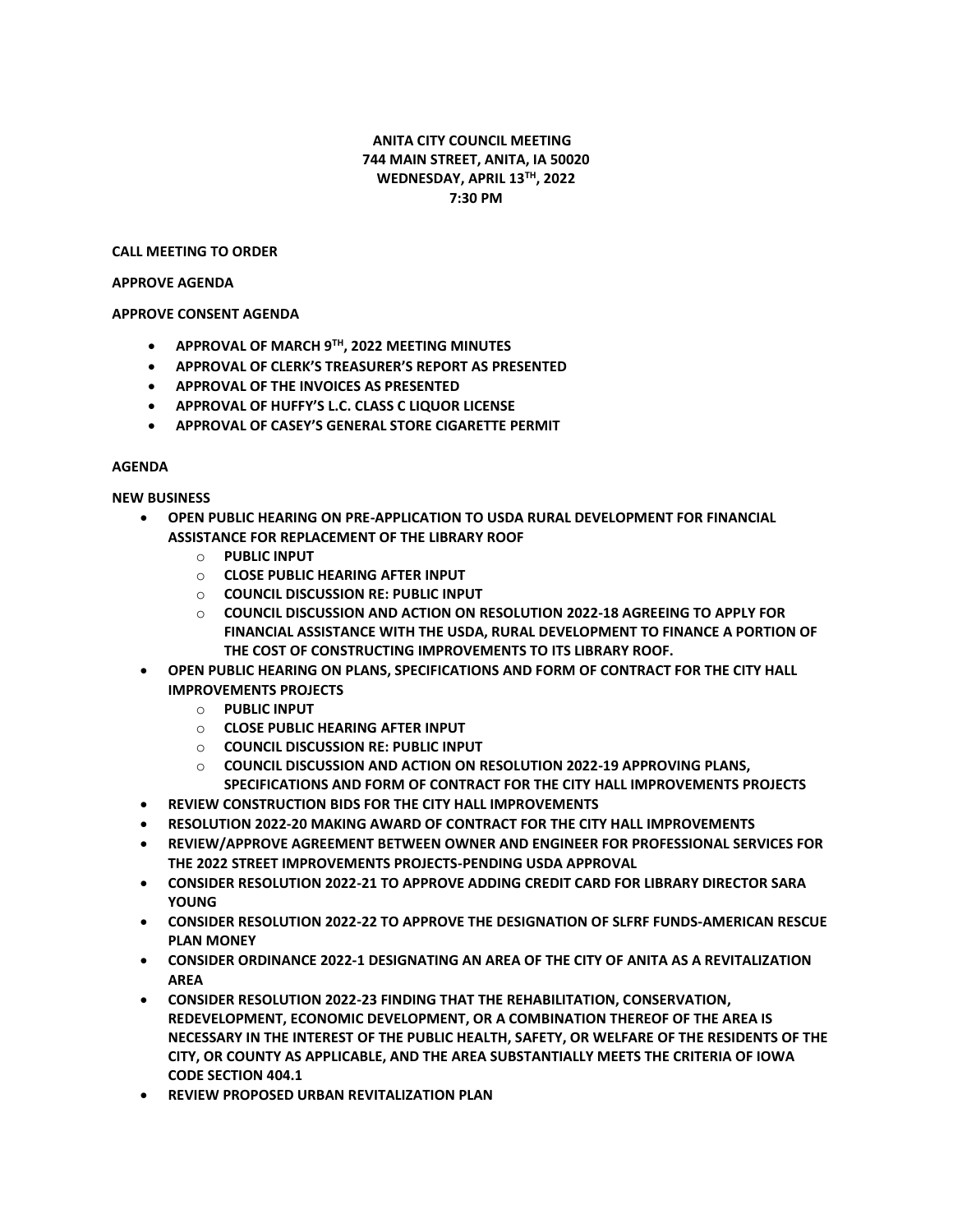# **ANITA CITY COUNCIL MEETING 744 MAIN STREET, ANITA, IA 50020 WEDNESDAY, APRIL 13TH, 2022 7:30 PM**

#### **CALL MEETING TO ORDER**

#### **APPROVE AGENDA**

## **APPROVE CONSENT AGENDA**

- **APPROVAL OF MARCH 9TH, 2022 MEETING MINUTES**
- **APPROVAL OF CLERK'S TREASURER'S REPORT AS PRESENTED**
- **APPROVAL OF THE INVOICES AS PRESENTED**
- **APPROVAL OF HUFFY'S L.C. CLASS C LIQUOR LICENSE**
- **APPROVAL OF CASEY'S GENERAL STORE CIGARETTE PERMIT**

## **AGENDA**

# **NEW BUSINESS**

- **OPEN PUBLIC HEARING ON PRE-APPLICATION TO USDA RURAL DEVELOPMENT FOR FINANCIAL ASSISTANCE FOR REPLACEMENT OF THE LIBRARY ROOF**
	- o **PUBLIC INPUT**
	- o **CLOSE PUBLIC HEARING AFTER INPUT**
	- o **COUNCIL DISCUSSION RE: PUBLIC INPUT**
	- o **COUNCIL DISCUSSION AND ACTION ON RESOLUTION 2022-18 AGREEING TO APPLY FOR FINANCIAL ASSISTANCE WITH THE USDA, RURAL DEVELOPMENT TO FINANCE A PORTION OF THE COST OF CONSTRUCTING IMPROVEMENTS TO ITS LIBRARY ROOF.**
- **OPEN PUBLIC HEARING ON PLANS, SPECIFICATIONS AND FORM OF CONTRACT FOR THE CITY HALL IMPROVEMENTS PROJECTS**
	- o **PUBLIC INPUT**
	- o **CLOSE PUBLIC HEARING AFTER INPUT**
	- o **COUNCIL DISCUSSION RE: PUBLIC INPUT**
	- o **COUNCIL DISCUSSION AND ACTION ON RESOLUTION 2022-19 APPROVING PLANS, SPECIFICATIONS AND FORM OF CONTRACT FOR THE CITY HALL IMPROVEMENTS PROJECTS**
- **REVIEW CONSTRUCTION BIDS FOR THE CITY HALL IMPROVEMENTS**
- **RESOLUTION 2022-20 MAKING AWARD OF CONTRACT FOR THE CITY HALL IMPROVEMENTS**
- **REVIEW/APPROVE AGREEMENT BETWEEN OWNER AND ENGINEER FOR PROFESSIONAL SERVICES FOR THE 2022 STREET IMPROVEMENTS PROJECTS-PENDING USDA APPROVAL**
- **CONSIDER RESOLUTION 2022-21 TO APPROVE ADDING CREDIT CARD FOR LIBRARY DIRECTOR SARA YOUNG**
- **CONSIDER RESOLUTION 2022-22 TO APPROVE THE DESIGNATION OF SLFRF FUNDS-AMERICAN RESCUE PLAN MONEY**
- **CONSIDER ORDINANCE 2022-1 DESIGNATING AN AREA OF THE CITY OF ANITA AS A REVITALIZATION AREA**
- **CONSIDER RESOLUTION 2022-23 FINDING THAT THE REHABILITATION, CONSERVATION, REDEVELOPMENT, ECONOMIC DEVELOPMENT, OR A COMBINATION THEREOF OF THE AREA IS NECESSARY IN THE INTEREST OF THE PUBLIC HEALTH, SAFETY, OR WELFARE OF THE RESIDENTS OF THE CITY, OR COUNTY AS APPLICABLE, AND THE AREA SUBSTANTIALLY MEETS THE CRITERIA OF IOWA CODE SECTION 404.1**
- **REVIEW PROPOSED URBAN REVITALIZATION PLAN**